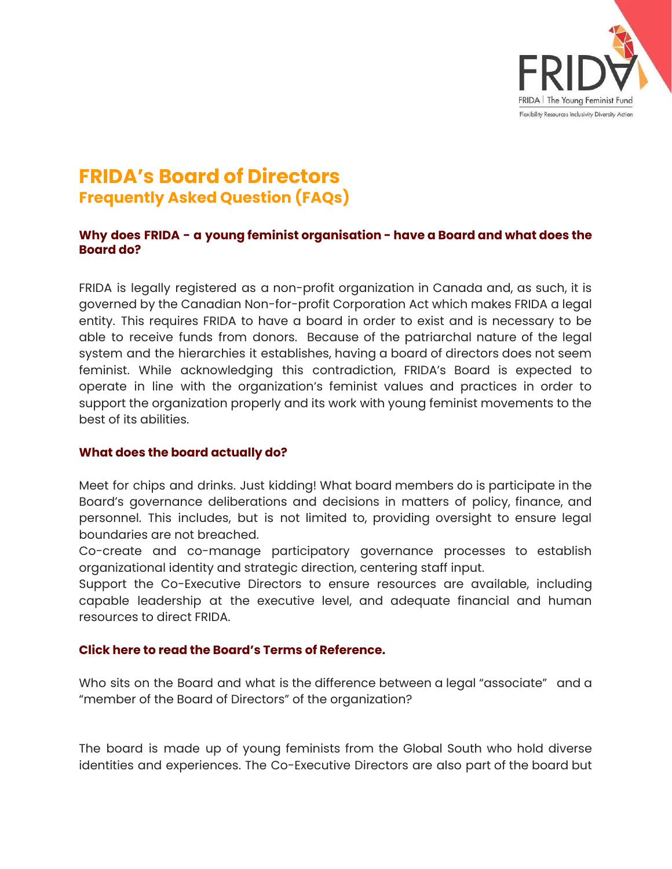

# **FRIDA's Board of Directors Frequently Asked Question (FAQs)**

# **Why does FRIDA - a young feminist organisation - have a Board and what does the Board do?**

FRIDA is legally registered as a non-profit organization in Canada and, as such, it is governed by the Canadian Non-for-profit Corporation Act which makes FRIDA a legal entity. This requires FRIDA to have a board in order to exist and is necessary to be able to receive funds from donors. Because of the patriarchal nature of the legal system and the hierarchies it establishes, having a board of directors does not seem feminist. While acknowledging this contradiction, FRIDA's Board is expected to operate in line with the organization's feminist values and practices in order to support the organization properly and its work with young feminist movements to the best of its abilities.

# **What does the board actually do?**

Meet for chips and drinks. Just kidding! What board members do is participate in the Board's governance deliberations and decisions in matters of policy, finance, and personnel. This includes, but is not limited to, providing oversight to ensure legal boundaries are not breached.

Co-create and co-manage participatory governance processes to establish organizational identity and strategic direction, centering staff input.

Support the Co-Executive Directors to ensure resources are available, including capable leadership at the executive level, and adequate financial and human resources to direct FRIDA.

# **Click here to read the Board's Terms of Reference.**

Who sits on the Board and what is the difference between a legal "associate" and a "member of the Board of Directors" of the organization?

The board is made up of young feminists from the Global South who hold diverse identities and experiences. The Co-Executive Directors are also part of the board but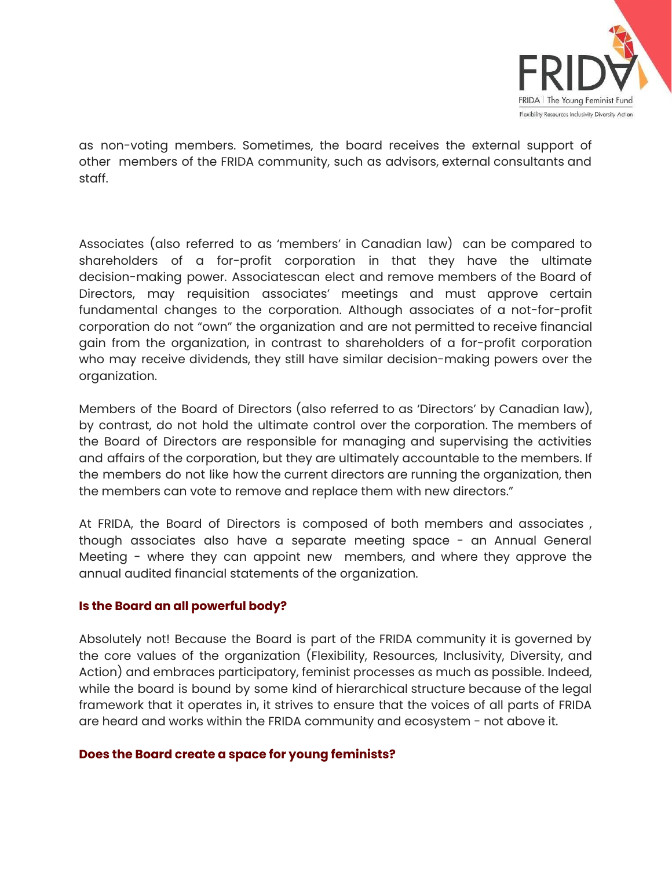

as non-voting members. Sometimes, the board receives the external support of other members of the FRIDA community, such as advisors, external consultants and staff.

Associates (also referred to as 'members' in Canadian law) can be compared to shareholders of a for-profit corporation in that they have the ultimate decision-making power. Associatescan elect and remove members of the Board of Directors, may requisition associates' meetings and must approve certain fundamental changes to the corporation. Although associates of a not-for-profit corporation do not "own" the organization and are not permitted to receive financial gain from the organization, in contrast to shareholders of a for-profit corporation who may receive dividends, they still have similar decision-making powers over the organization.

Members of the Board of Directors (also referred to as 'Directors' by Canadian law), by contrast, do not hold the ultimate control over the corporation. The members of the Board of Directors are responsible for managing and supervising the activities and affairs of the corporation, but they are ultimately accountable to the members. If the members do not like how the current directors are running the organization, then the members can vote to remove and replace them with new directors."

At FRIDA, the Board of Directors is composed of both members and associates , though associates also have a separate meeting space - an Annual General Meeting - where they can appoint new members, and where they approve the annual audited financial statements of the organization.

# **Is the Board an all powerful body?**

Absolutely not! Because the Board is part of the FRIDA community it is governed by the core values of the organization (Flexibility, Resources, Inclusivity, Diversity, and Action) and embraces participatory, feminist processes as much as possible. Indeed, while the board is bound by some kind of hierarchical structure because of the legal framework that it operates in, it strives to ensure that the voices of all parts of FRIDA are heard and works within the FRIDA community and ecosystem - not above it.

# **Does the Board create a space for young feminists?**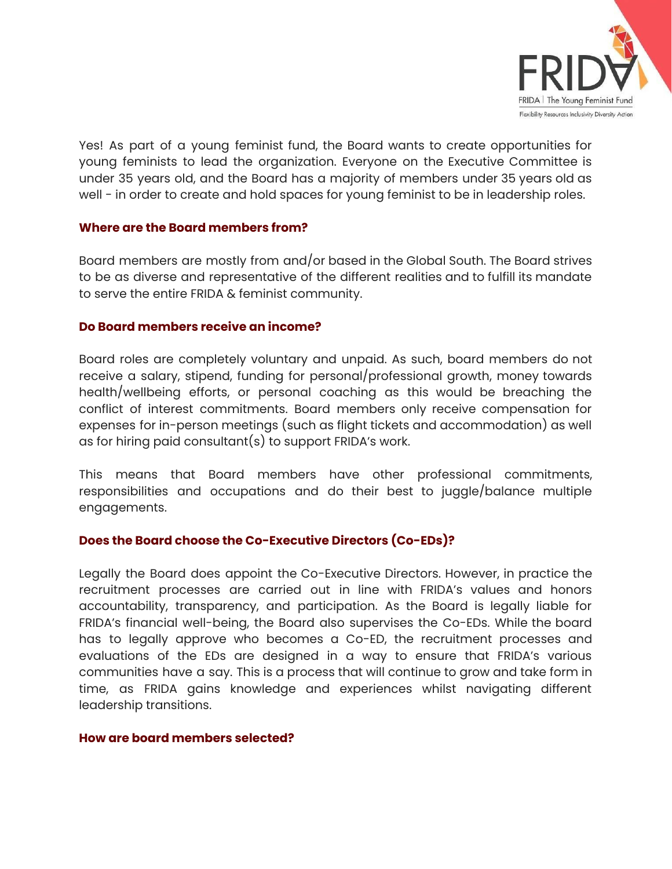

Yes! As part of a young feminist fund, the Board wants to create opportunities for young feminists to lead the organization. Everyone on the Executive Committee is under 35 years old, and the Board has a majority of members under 35 years old as well - in order to create and hold spaces for young feminist to be in leadership roles.

# **Where are the Board members from?**

Board members are mostly from and/or based in the Global South. The Board strives to be as diverse and representative of the different realities and to fulfill its mandate to serve the entire FRIDA & feminist community.

#### **Do Board members receive an income?**

Board roles are completely voluntary and unpaid. As such, board members do not receive a salary, stipend, funding for personal/professional growth, money towards health/wellbeing efforts, or personal coaching as this would be breaching the conflict of interest commitments. Board members only receive compensation for expenses for in-person meetings (such as flight tickets and accommodation) as well as for hiring paid consultant(s) to support FRIDA's work.

This means that Board members have other professional commitments, responsibilities and occupations and do their best to juggle/balance multiple engagements.

# **Does the Board choose the Co-Executive Directors (Co-EDs)?**

Legally the Board does appoint the Co-Executive Directors. However, in practice the recruitment processes are carried out in line with FRIDA's values and honors accountability, transparency, and participation. As the Board is legally liable for FRIDA's financial well-being, the Board also supervises the Co-EDs. While the board has to legally approve who becomes a Co-ED, the recruitment processes and evaluations of the EDs are designed in a way to ensure that FRIDA's various communities have a say. This is a process that will continue to grow and take form in time, as FRIDA gains knowledge and experiences whilst navigating different leadership transitions.

#### **How are board members selected?**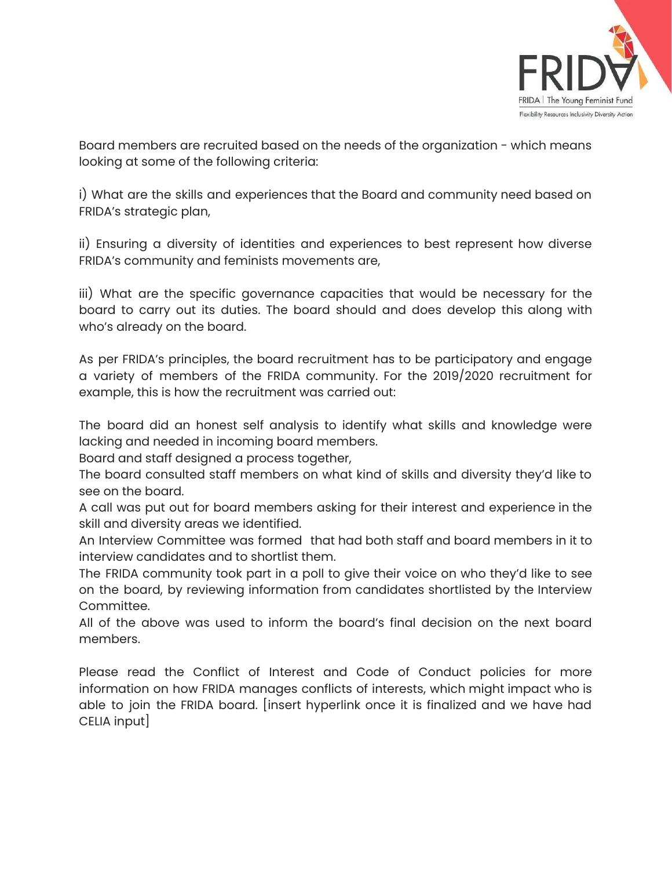

Board members are recruited based on the needs of the organization - which means looking at some of the following criteria:

i) What are the skills and experiences that the Board and community need based on FRIDA's strategic plan,

ii) Ensuring a diversity of identities and experiences to best represent how diverse FRIDA's community and feminists movements are,

iii) What are the specific governance capacities that would be necessary for the board to carry out its duties. The board should and does develop this along with who's already on the board.

As per FRIDA's principles, the board recruitment has to be participatory and engage a variety of members of the FRIDA community. For the 2019/2020 recruitment for example, this is how the recruitment was carried out:

The board did an honest self analysis to identify what skills and knowledge were lacking and needed in incoming board members.

Board and staff designed a process together,

The board consulted staff members on what kind of skills and diversity they'd like to see on the board.

A call was put out for board members asking for their interest and experience in the skill and diversity areas we identified.

An Interview Committee was formed that had both staff and board members in it to interview candidates and to shortlist them.

The FRIDA community took part in a poll to give their voice on who they'd like to see on the board, by reviewing information from candidates shortlisted by the Interview Committee.

All of the above was used to inform the board's final decision on the next board members.

Please read the Conflict of Interest and Code of Conduct policies for more information on how FRIDA manages conflicts of interests, which might impact who is able to join the FRIDA board. [insert hyperlink once it is finalized and we have had CELIA input]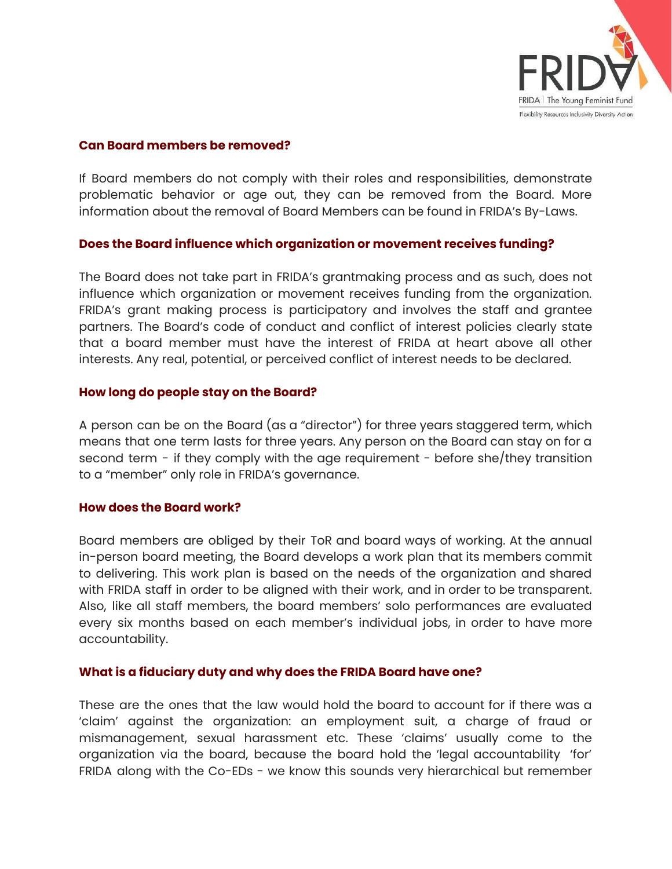

#### **Can Board members be removed?**

If Board members do not comply with their roles and responsibilities, demonstrate problematic behavior or age out, they can be removed from the Board. More information about the removal of Board Members can be found in FRIDA's By-Laws.

# **Does the Board influence which organization or movement receives funding?**

The Board does not take part in FRIDA's grantmaking process and as such, does not influence which organization or movement receives funding from the organization. FRIDA's grant making process is participatory and involves the staff and grantee partners. The Board's code of conduct and conflict of interest policies clearly state that a board member must have the interest of FRIDA at heart above all other interests. Any real, potential, or perceived conflict of interest needs to be declared.

# **How long do people stay on the Board?**

A person can be on the Board (as a "director") for three years staggered term, which means that one term lasts for three years. Any person on the Board can stay on for a second term - if they comply with the age requirement - before she/they transition to a "member" only role in FRIDA's governance.

# **How does the Board work?**

Board members are obliged by their ToR and board ways of working. At the annual in-person board meeting, the Board develops a work plan that its members commit to delivering. This work plan is based on the needs of the organization and shared with FRIDA staff in order to be aligned with their work, and in order to be transparent. Also, like all staff members, the board members' solo performances are evaluated every six months based on each member's individual jobs, in order to have more accountability.

# **What is a fiduciary duty and why does the FRIDA Board have one?**

These are the ones that the law would hold the board to account for if there was a 'claim' against the organization: an employment suit, a charge of fraud or mismanagement, sexual harassment etc. These 'claims' usually come to the organization via the board, because the board hold the 'legal accountability 'for' FRIDA along with the Co-EDs - we know this sounds very hierarchical but remember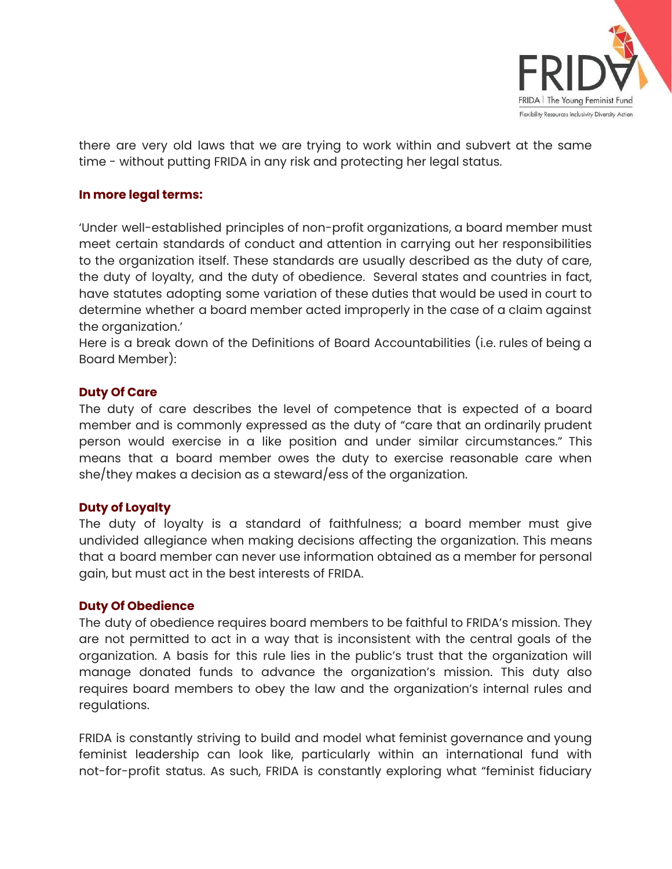

there are very old laws that we are trying to work within and subvert at the same time - without putting FRIDA in any risk and protecting her legal status.

# **In more legal terms:**

'Under well-established principles of non-profit organizations, a board member must meet certain standards of conduct and attention in carrying out her responsibilities to the organization itself. These standards are usually described as the duty of care, the duty of loyalty, and the duty of obedience. Several states and countries in fact, have statutes adopting some variation of these duties that would be used in court to determine whether a board member acted improperly in the case of a claim against the organization.'

Here is a break down of the Definitions of Board Accountabilities (i.e. rules of being a Board Member):

# **Duty Of Care**

The duty of care describes the level of competence that is expected of a board member and is commonly expressed as the duty of "care that an ordinarily prudent person would exercise in a like position and under similar circumstances." This means that a board member owes the duty to exercise reasonable care when she/they makes a decision as a steward/ess of the organization.

# **Duty of Loyalty**

The duty of loyalty is a standard of faithfulness; a board member must give undivided allegiance when making decisions affecting the organization. This means that a board member can never use information obtained as a member for personal gain, but must act in the best interests of FRIDA.

# **Duty Of Obedience**

The duty of obedience requires board members to be faithful to FRIDA's mission. They are not permitted to act in a way that is inconsistent with the central goals of the organization. A basis for this rule lies in the public's trust that the organization will manage donated funds to advance the organization's mission. This duty also requires board members to obey the law and the organization's internal rules and regulations.

FRIDA is constantly striving to build and model what feminist governance and young feminist leadership can look like, particularly within an international fund with not-for-profit status. As such, FRIDA is constantly exploring what "feminist fiduciary